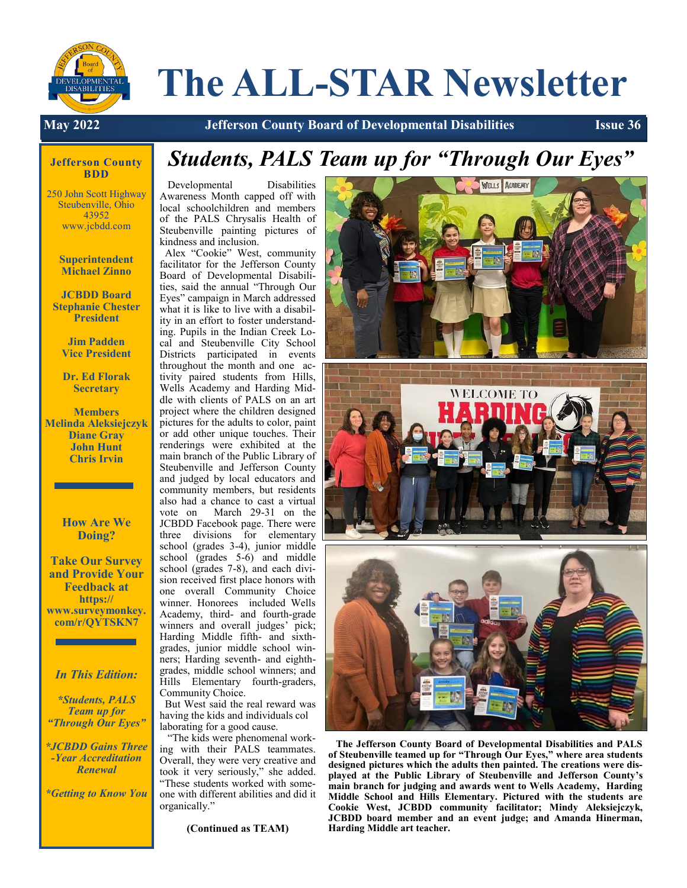

# **The ALL-STAR Newsletter**

**May 2022 Jefferson County Board of Developmental Disabilities Issue 36**

#### **Jefferson County BDD**

250 John Scott Highway Steubenville, Ohio 43952 www.jcbdd.com

> **Superintendent Michael Zinno**

**JCBDD Board Stephanie Chester President**

> **Jim Padden Vice President**

**Dr. Ed Florak Secretary**

**Members Melinda Aleksiejczyk Diane Gray John Hunt Chris Irvin**

> **How Are We Doing?**

**Take Our Survey and Provide Your Feedback at https:// www.surveymonkey. com/r/QYTSKN7** 

*In This Edition:*

*\*Students, PALS Team up for "Through Our Eyes"* 

*\*JCBDD Gains Three -Year Accreditation Renewal*

*\*Getting to Know You*

## *Students, PALS Team up for "Through Our Eyes"*

 Developmental Disabilities Awareness Month capped off with local schoolchildren and members of the PALS Chrysalis Health of Steubenville painting pictures of kindness and inclusion.

 Alex "Cookie" West, community facilitator for the Jefferson County Board of Developmental Disabilities, said the annual "Through Our Eyes" campaign in March addressed what it is like to live with a disability in an effort to foster understanding. Pupils in the Indian Creek Local and Steubenville City School Districts participated in events throughout the month and one activity paired students from Hills, Wells Academy and Harding Middle with clients of PALS on an art project where the children designed pictures for the adults to color, paint or add other unique touches. Their renderings were exhibited at the main branch of the Public Library of Steubenville and Jefferson County and judged by local educators and community members, but residents also had a chance to cast a virtual vote on March 29-31 on the JCBDD Facebook page. There were three divisions for elementary school (grades 3-4), junior middle school (grades 5-6) and middle school (grades 7-8), and each division received first place honors with one overall Community Choice winner. Honorees included Wells Academy, third- and fourth-grade winners and overall judges' pick; Harding Middle fifth- and sixthgrades, junior middle school winners; Harding seventh- and eighthgrades, middle school winners; and Hills Elementary fourth-graders, Community Choice.

 But West said the real reward was having the kids and individuals col laborating for a good cause.

 "The kids were phenomenal working with their PALS teammates. Overall, they were very creative and took it very seriously," she added. "These students worked with someone with different abilities and did it organically."

**(Continued as TEAM)**



 **The Jefferson County Board of Developmental Disabilities and PALS of Steubenville teamed up for "Through Our Eyes," where area students designed pictures which the adults then painted. The creations were displayed at the Public Library of Steubenville and Jefferson County's main branch for judging and awards went to Wells Academy, Harding Middle School and Hills Elementary. Pictured with the students are Cookie West, JCBDD community facilitator; Mindy Aleksiejczyk, JCBDD board member and an event judge; and Amanda Hinerman, Harding Middle art teacher.**